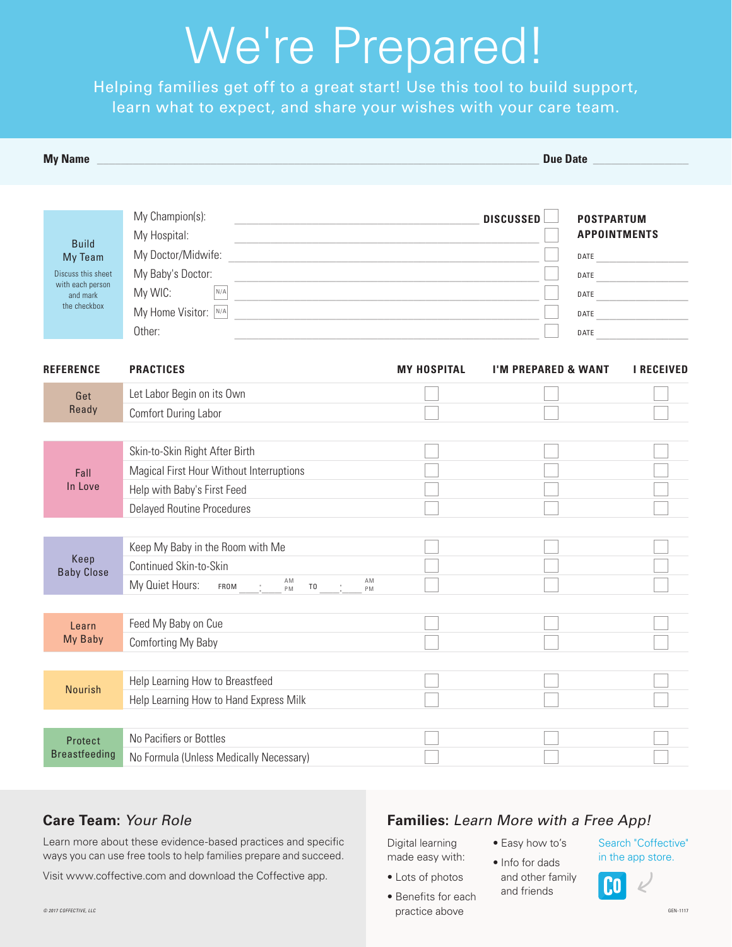# We're Prepared!

Helping families get off to a great start! Use this tool to build support, learn what to expect, and share your wishes with your care team.

| <b>My Name</b>                                                                                |                                                                                                                                                                                                                                                                                                                                                                                            |                    | <b>Due Date Date</b>                                     |                                          |
|-----------------------------------------------------------------------------------------------|--------------------------------------------------------------------------------------------------------------------------------------------------------------------------------------------------------------------------------------------------------------------------------------------------------------------------------------------------------------------------------------------|--------------------|----------------------------------------------------------|------------------------------------------|
| <b>Build</b><br>My Team<br>Discuss this sheet<br>with each person<br>and mark<br>the checkbox | My Champion(s):<br><u> 1980 - Johann Barbara, martxa alemaniar arg</u> entina (h. 1908).<br>My Hospital:<br>My Doctor/Midwife:<br><u> 1980 - Jan Barnett, fransk politiker (d. 1980)</u><br>My Baby's Doctor:<br>My WIC:<br>N/A<br>My Home Visitor: N/A<br><u> 1989 - Johann Barn, mars ann an t-Amhain Aonaich an t-Aonaich an t-Aonaich an t-Aonaich an t-Aonaich an t-Aon</u><br>Other: |                    | <b>DISCUSSED</b><br>DATE<br>DATE<br>DATE<br>DATE<br>DATE | <b>POSTPARTUM</b><br><b>APPOINTMENTS</b> |
| <b>REFERENCE</b>                                                                              | <b>PRACTICES</b>                                                                                                                                                                                                                                                                                                                                                                           | <b>MY HOSPITAL</b> | <b>I'M PREPARED &amp; WANT</b>                           | <b>I RECEIVED</b>                        |
| Get<br>Ready                                                                                  | Let Labor Begin on its Own<br><b>Comfort During Labor</b>                                                                                                                                                                                                                                                                                                                                  |                    |                                                          |                                          |
| Fall<br>In Love                                                                               | Skin-to-Skin Right After Birth<br>Magical First Hour Without Interruptions<br>Help with Baby's First Feed<br><b>Delayed Routine Procedures</b>                                                                                                                                                                                                                                             |                    |                                                          |                                          |
| Keep<br><b>Baby Close</b>                                                                     | Keep My Baby in the Room with Me<br>Continued Skin-to-Skin<br>AM<br>AM<br>My Quiet Hours:<br>FROM<br>T <sub>0</sub><br>PM<br>PM                                                                                                                                                                                                                                                            |                    |                                                          |                                          |
| Learn<br>My Baby                                                                              | Feed My Baby on Cue<br>Comforting My Baby                                                                                                                                                                                                                                                                                                                                                  |                    |                                                          |                                          |
| <b>Nourish</b>                                                                                | Help Learning How to Breastfeed<br>Help Learning How to Hand Express Milk                                                                                                                                                                                                                                                                                                                  |                    |                                                          |                                          |
| Protect<br><b>Breastfeeding</b>                                                               | No Pacifiers or Bottles<br>No Formula (Unless Medically Necessary)                                                                                                                                                                                                                                                                                                                         |                    |                                                          |                                          |

#### **Care Team:** Your Role

Learn more about these evidence-based practices and specific ways you can use free tools to help families prepare and succeed.

Visit www.coffective.com and download the Coffective app.

#### **Families:** Learn More with a Free App!

Digital learning made easy with:

- Easy how to's
- Info for dads
- Lots of photos • Benefits for each
- and other family and friends

Search "Coffective" in the app store.

Co



© 2017 COFFECTIVE, LLC GEN-1117 CORPORATION CONTROLLED ACCESS OF A CHARGE ABOVE CHARGE ABOVE CHARGE AREA CHARGE AREA 1117